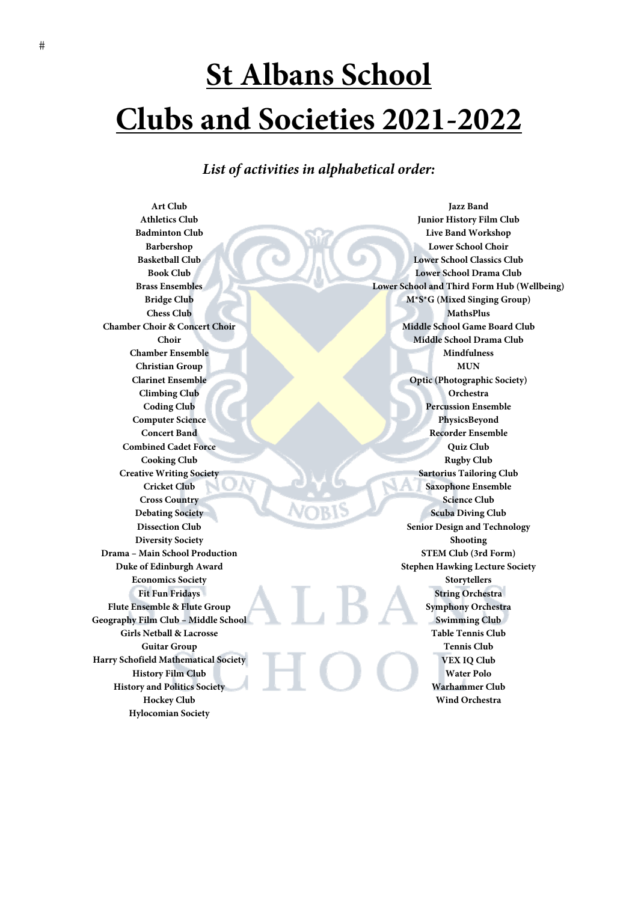# **St Albans School Clubs and Societies 2021-2022**

*List of activities in alphabetical order:* 

**Art Club Athletics Club Badminton Club Barbershop Basketball Club Book Club Brass Ensembles Bridge Club Chess Club Chamber Choir & Concert Choir Choir Chamber Ensemble Christian Group Clarinet Ensemble Climbing Club Coding Club Computer Science Concert Band Combined Cadet Force Cooking Club Creative Writing Society Cricket Club Cross Country Debating Society Dissection Club Diversity Society Drama – Main School Production Duke of Edinburgh Award Economics Society Fit Fun Fridays Flute Ensemble & Flute Group Geography Film Club – Middle School Girls Netball & Lacrosse Guitar Group Harry Schofield Mathematical Society History Film Club History and Politics Society Hockey Club Hylocomian Society** 

**Jazz Band Junior History Film Club Live Band Workshop Lower School Choir Lower School Classics Club Lower School Drama Club Lower School and Third Form Hub (Wellbeing) M\*S\*G (Mixed Singing Group) MathsPlus Middle School Game Board Club Middle School Drama Club Mindfulness MUN Optic (Photographic Society) Orchestra Percussion Ensemble PhysicsBeyond Recorder Ensemble Quiz Club Rugby Club Sartorius Tailoring Club Saxophone Ensemble Science Club Scuba Diving Club Senior Design and Technology Shooting STEM Club (3rd Form) Stephen Hawking Lecture Society Storytellers String Orchestra Symphony Orchestra Swimming Club Table Tennis Club Tennis Club VEX IQ Club Water Polo Warhammer Club Wind Orchestra**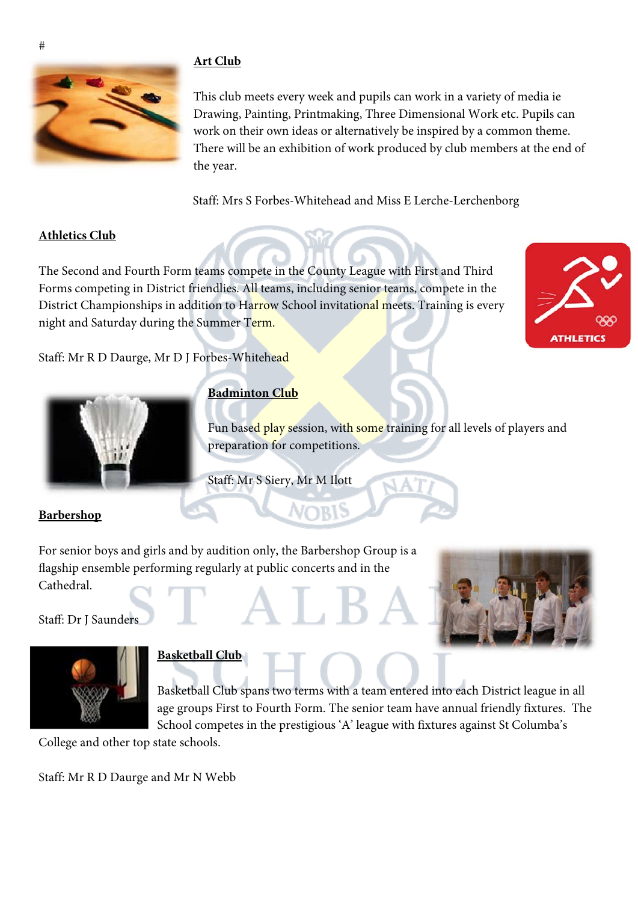# **Art Club**



This club meets every week and pupils can work in a variety of media ie Drawing, Painting, Printmaking, Three Dimensional Work etc. Pupils can work on their own ideas or alternatively be inspired by a common theme. There will be an exhibition of work produced by club members at the end of the year.

Staff: Mrs S Forbes-Whitehead and Miss E Lerche-Lerchenborg

#### **Athletics Club**

The Second and Fourth Form teams compete in the County League with First and Third Forms competing in District friendlies. All teams, including senior teams, compete in the District Championships in addition to Harrow School invitational meets. Training is every night and Saturday during the Summer Term.



Staff: Mr R D Daurge, Mr D J Forbes-Whitehead



#### **Badminton Club**

Fun based play session, with some training for all levels of players and preparation for competitions.

Staff: Mr S Siery, Mr M Ilott

#### **Barbershop**

For senior boys and girls and by audition only, the Barbershop Group is a flagship ensemble performing regularly at public concerts and in the Cathedral.

#### Staff: Dr J Saunders



# **Basketball Club**

Basketball Club spans two terms with a team entered into each District league in all age groups First to Fourth Form. The senior team have annual friendly fixtures. The School competes in the prestigious 'A' league with fixtures against St Columba's

College and other top state schools.

Staff: Mr R D Daurge and Mr N Webb

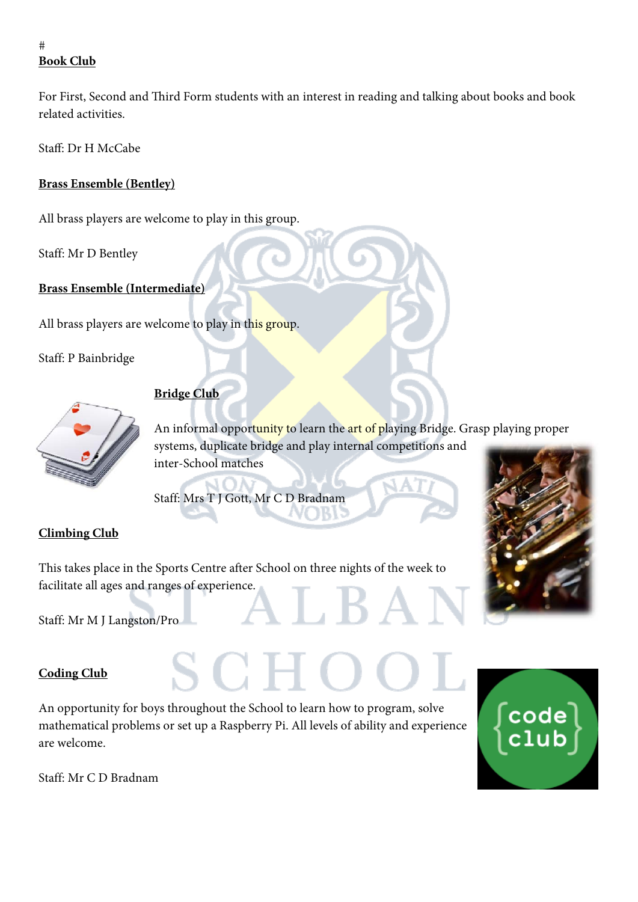# **Book Club**

For First, Second and Third Form students with an interest in reading and talking about books and book related activities.

Staff: Dr H McCabe

# **Brass Ensemble (Bentley)**

All brass players are welcome to play in this group.

Staff: Mr D Bentley

## **Brass Ensemble (Intermediate)**

All brass players are welcome to play in this group.

Staff: P Bainbridge



# **Bridge Club**

An informal opportunity to learn the art of playing Bridge. Grasp playing proper systems, duplicate bridge and play internal competitions and inter-School matches

Staff: Mrs T J Gott, Mr C D Bradnam

# **Climbing Club**

This takes place in the Sports Centre after School on three nights of the week to facilitate all ages and ranges of experience.

Staff: Mr M J Langston/Pro

#### **Coding Club**

An opportunity for boys throughout the School to learn how to program, solve mathematical problems or set up a Raspberry Pi. All levels of ability and experience are welcome.



code

Staff: Mr C D Bradnam

 $#$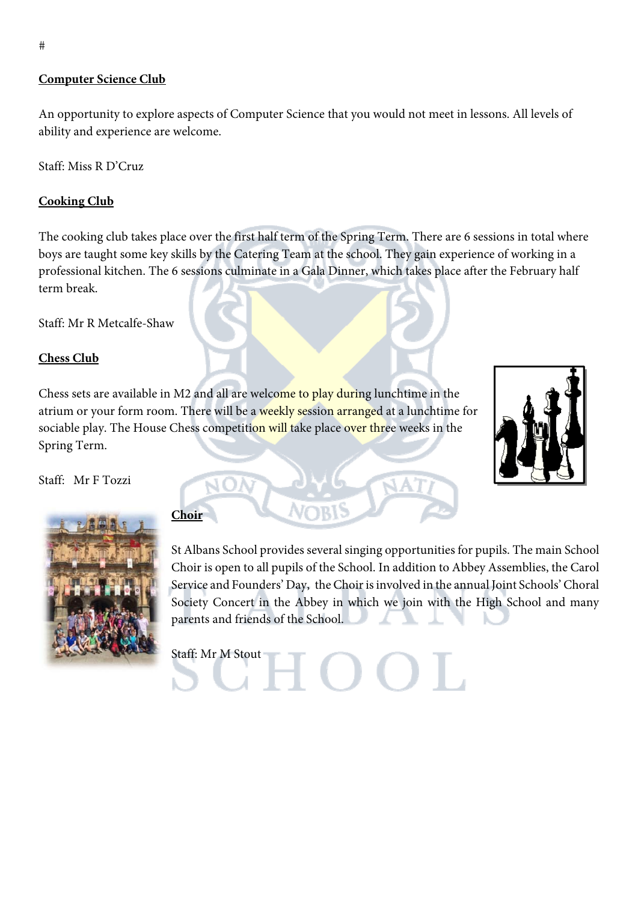#### **Computer Science Club**

An opportunity to explore aspects of Computer Science that you would not meet in lessons. All levels of ability and experience are welcome.

Staff: Miss R D'Cruz

#### **Cooking Club**

The cooking club takes place over the first half term of the Spring Term. There are 6 sessions in total where boys are taught some key skills by the Catering Team at the school. They gain experience of working in a professional kitchen. The 6 sessions culminate in a Gala Dinner, which takes place after the February half term break.

Staff: Mr R Metcalfe-Shaw

#### **Chess Club**

Chess sets are available in M2 and all are welcome to play during lunchtime in the atrium or your form room. There will be a weekly session arranged at a lunchtime for sociable play. The House Chess competition will take place over three weeks in the Spring Term.







# **Choir**

St Albans School provides several singing opportunities for pupils. The main School Choir is open to all pupils of the School. In addition to Abbey Assemblies, the Carol Service and Founders' Day, the Choir is involved in the annual Joint Schools' Choral Society Concert in the Abbey in which we join with the High School and many parents and friends of the School.

 $\Box$  ( )

Staff: Mr M Stout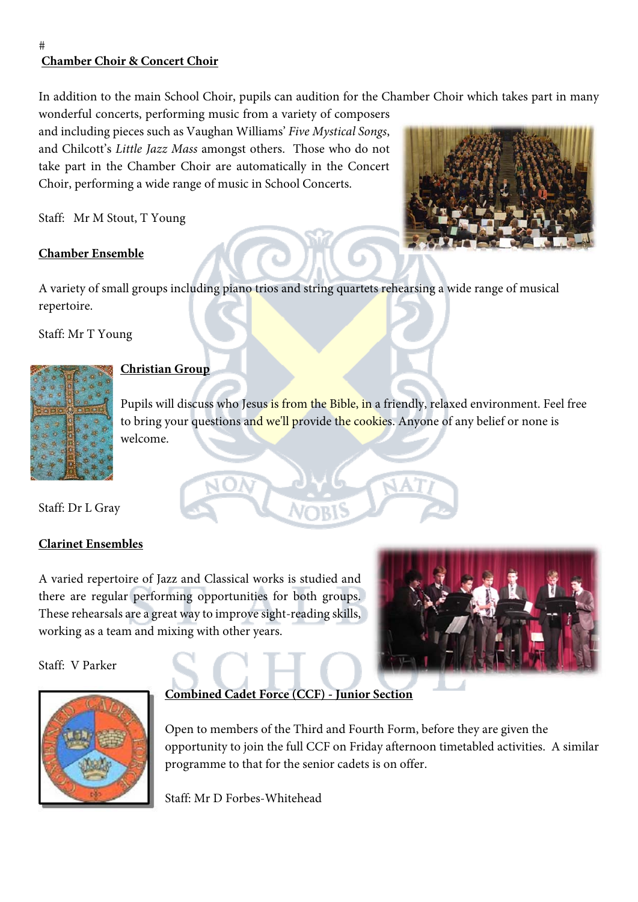# **Chamber Choir & Concert Choir**

 $#$ 

In addition to the main School Choir, pupils can audition for the Chamber Choir which takes part in many

wonderful concerts, performing music from a variety of composers and including pieces such as Vaughan Williams' *Five Mystical Songs*, and Chilcott's *Little Jazz Mass* amongst others. Those who do not take part in the Chamber Choir are automatically in the Concert Choir, performing a wide range of music in School Concerts.

Staff: Mr M Stout, T Young

## **Chamber Ensemble**

A variety of small groups including piano trios and string quartets rehearsing a wide range of musical repertoire.

Staff: Mr T Young



# **Christian Group**

Pupils will discuss who Jesus is from the Bible, in a friendly, relaxed environment. Feel free to bring your questions and we'll provide the cookies. Anyone of any belief or none is welcome.

Staff: Dr L Gray

# **Clarinet Ensembles**

A varied repertoire of Jazz and Classical works is studied and there are regular performing opportunities for both groups. These rehearsals are a great way to improve sight-reading skills, working as a team and mixing with other years.

Staff: V Parker





# **Combined Cadet Force (CCF) - Junior Section**

Open to members of the Third and Fourth Form, before they are given the opportunity to join the full CCF on Friday afternoon timetabled activities. A similar programme to that for the senior cadets is on offer.

Staff: Mr D Forbes-Whitehead

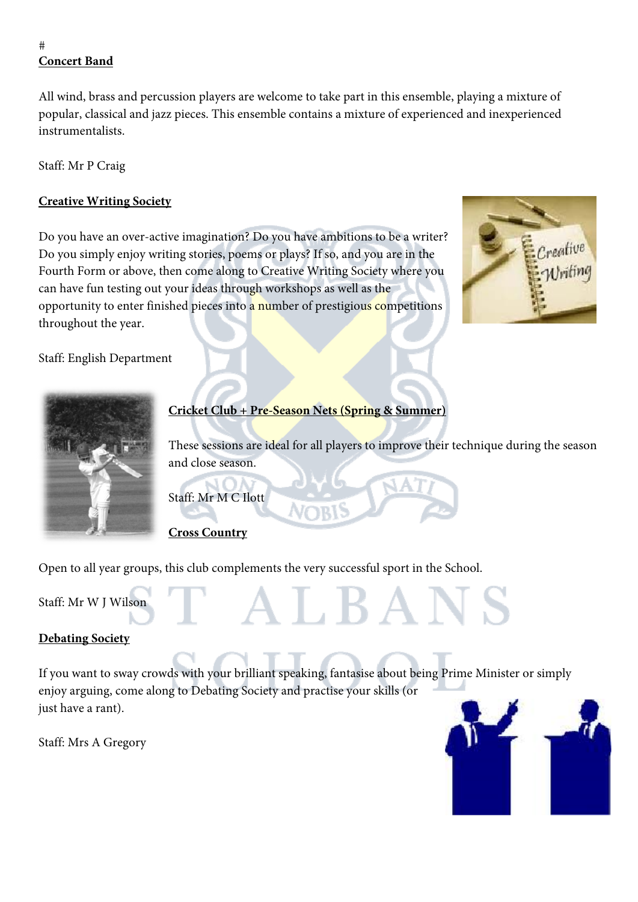# **Concert Band**

 $#$ 

All wind, brass and percussion players are welcome to take part in this ensemble, playing a mixture of popular, classical and jazz pieces. This ensemble contains a mixture of experienced and inexperienced instrumentalists.

Staff: Mr P Craig

# **Creative Writing Society**

Do you have an over-active imagination? Do you have ambitions to be a writer? Do you simply enjoy writing stories, poems or plays? If so, and you are in the Fourth Form or above, then come along to Creative Writing Society where you can have fun testing out your ideas through workshops as well as the opportunity to enter finished pieces into a number of prestigious competitions throughout the year.



Staff: English Department



# **Cricket Club + Pre-Season Nets (Spring & Summer)**

These sessions are ideal for all players to improve their technique during the season and close season.

Staff: Mr M C Ilott

# **Cross Country**

Open to all year groups, this club complements the very successful sport in the School.

Staff: Mr W J Wilson

# **Debating Society**

If you want to sway crowds with your brilliant speaking, fantasise about being Prime Minister or simply enjoy arguing, come along to Debating Society and practise your skills (or just have a rant).

A L R A I

Staff: Mrs A Gregory

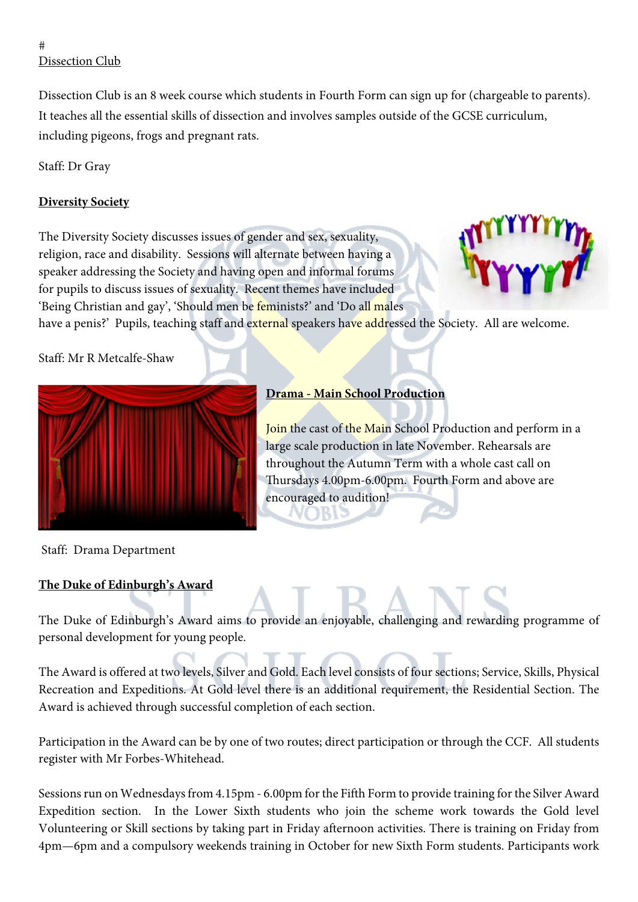#### $#$ Dissection Club

Dissection Club is an 8 week course which students in Fourth Form can sign up for (chargeable to parents). It teaches all the essential skills of dissection and involves samples outside of the GCSE curriculum, including pigeons, frogs and pregnant rats.

Staff: Dr Gray

# **Diversity Society**

The Diversity Society discusses issues of gender and sex, sexuality, religion, race and disability. Sessions will alternate between having a speaker addressing the Society and having open and informal forums for pupils to discuss issues of sexuality. Recent themes have included 'Being Christian and gay', 'Should men be feminists?' and 'Do all males



have a penis?' Pupils, teaching staff and external speakers have addressed the Society. All are welcome.

l

# Staff: Mr R Metcalfe-Shaw



# **Drama - Main School Production**

Join the cast of the Main School Production and perform in a large scale production in late November. Rehearsals are throughout the Autumn Term with a whole cast call on Thursdays 4.00pm‐6.00pm. Fourth Form and above are encouraged to audition!

Staff: Drama Department

# **The Duke of Edinburgh's Award**

The Duke of Edinburgh's Award aims to provide an enjoyable, challenging and rewarding programme of personal development for young people.

The Award is offered at two levels, Silver and Gold. Each level consists of four sections; Service, Skills, Physical Recreation and Expeditions. At Gold level there is an additional requirement, the Residential Section. The Award is achieved through successful completion of each section.

Participation in the Award can be by one of two routes; direct participation or through the CCF. All students register with Mr Forbes-Whitehead.

Sessions run on Wednesdays from 4.15pm - 6.00pm for the Fifth Form to provide training for the Silver Award Expedition section. In the Lower Sixth students who join the scheme work towards the Gold level Volunteering or Skill sections by taking part in Friday afternoon activities. There is training on Friday from 4pm—6pm and a compulsory weekends training in October for new Sixth Form students. Participants work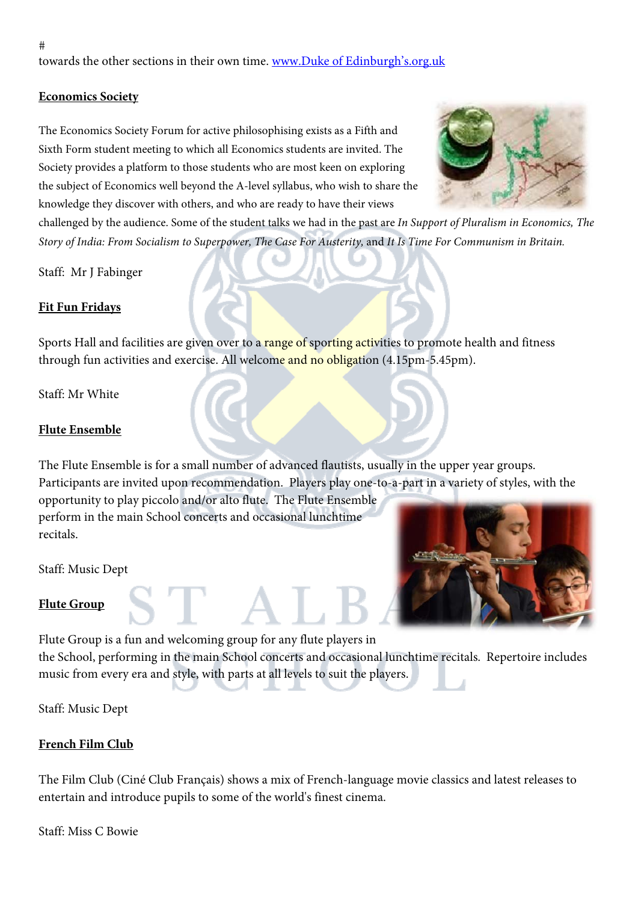# **Economics Society**

The Economics Society Forum for active philosophising exists as a Fifth and Sixth Form student meeting to which all Economics students are invited. The Society provides a platform to those students who are most keen on exploring the subject of Economics well beyond the A-level syllabus, who wish to share the knowledge they discover with others, and who are ready to have their views



challenged by the audience. Some of the student talks we had in the past are *In Support of Pluralism in Economics, The Story of India: From Socialism to Superpower, The Case For Austerity,* and *It Is Time For Communism in Britain.* 

Staff: Mr J Fabinger

## **Fit Fun Fridays**

Sports Hall and facilities are given over to a range of sporting activities to promote health and fitness through fun activities and exercise. All welcome and no obligation (4.15pm-5.45pm).

Staff: Mr White

#### **Flute Ensemble**

The Flute Ensemble is for a small number of advanced flautists, usually in the upper year groups. Participants are invited upon recommendation. Players play one-to-a-part in a variety of styles, with the opportunity to play piccolo and/or alto flute. The Flute Ensemble perform in the main School concerts and occasional lunchtime recitals.

Staff: Music Dept

#### **Flute Group**

Flute Group is a fun and welcoming group for any flute players in the School, performing in the main School concerts and occasional lunchtime recitals. Repertoire includes music from every era and style, with parts at all levels to suit the players.

Staff: Music Dept

#### **French Film Club**

The Film Club (Ciné Club Français) shows a mix of French-language movie classics and latest releases to entertain and introduce pupils to some of the world's finest cinema.

Staff: Miss C Bowie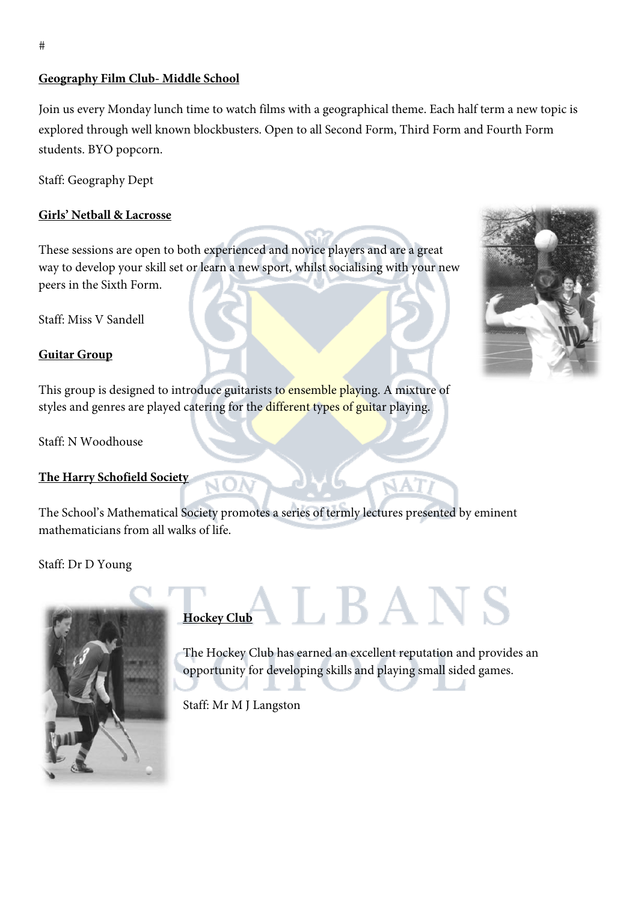#### **Geography Film Club- Middle School**

Join us every Monday lunch time to watch films with a geographical theme. Each half term a new topic is explored through well known blockbusters. Open to all Second Form, Third Form and Fourth Form students. BYO popcorn.

Staff: Geography Dept

#### **Girls' Netball & Lacrosse**

These sessions are open to both experienced and novice players and are a great way to develop your skill set or learn a new sport, whilst socialising with your new peers in the Sixth Form.

Staff: Miss V Sandell

#### **Guitar Group**

This group is designed to introduce guitarists to ensemble playing. A mixture of styles and genres are played catering for the different types of guitar playing.

Staff: N Woodhouse

#### **The Harry Schofield Society**

The School's Mathematical Society promotes a series of termly lectures presented by eminent mathematicians from all walks of life.

Staff: Dr D Young



# ${\bf \Lambda} {\bf L} {\bf B} {\bf A} {\bf N} {\bf S}$ **Hockey Club**

í

The Hockey Club has earned an excellent reputation and provides an opportunity for developing skills and playing small sided games.

Staff: Mr M J Langston

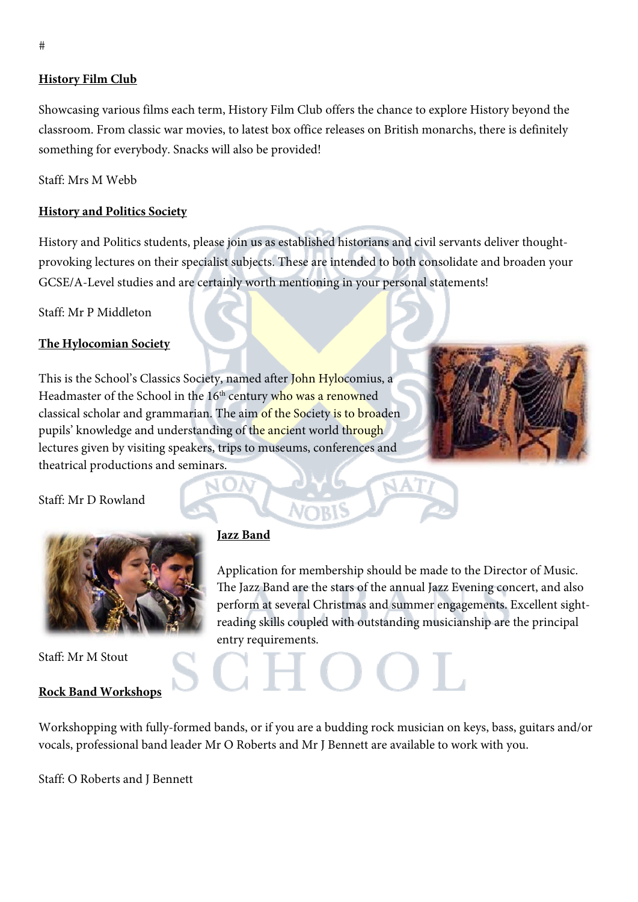#### **History Film Club**

Showcasing various films each term, History Film Club offers the chance to explore History beyond the classroom. From classic war movies, to latest box office releases on British monarchs, there is definitely something for everybody. Snacks will also be provided!

Staff: Mrs M Webb

#### **History and Politics Society**

History and Politics students, please join us as established historians and civil servants deliver thoughtprovoking lectures on their specialist subjects. These are intended to both consolidate and broaden your GCSE/A-Level studies and are certainly worth mentioning in your personal statements!

Staff: Mr P Middleton

#### **The Hylocomian Society**

This is the School's Classics Society, named after John Hylocomius, a Headmaster of the School in the 16<sup>th</sup> century who was a renowned classical scholar and grammarian. The aim of the Society is to broaden pupils' knowledge and understanding of the ancient world through lectures given by visiting speakers, trips to museums, conferences and theatrical productions and seminars.



Staff: Mr D Rowland



Staff: Mr M Stout

#### **Rock Band Workshops**

#### **Jazz Band**

Application for membership should be made to the Director of Music. The Jazz Band are the stars of the annual Jazz Evening concert, and also perform at several Christmas and summer engagements. Excellent sightreading skills coupled with outstanding musicianship are the principal entry requirements.

Workshopping with fully-formed bands, or if you are a budding rock musician on keys, bass, guitars and/or vocals, professional band leader Mr O Roberts and Mr J Bennett are available to work with you.

Staff: O Roberts and J Bennett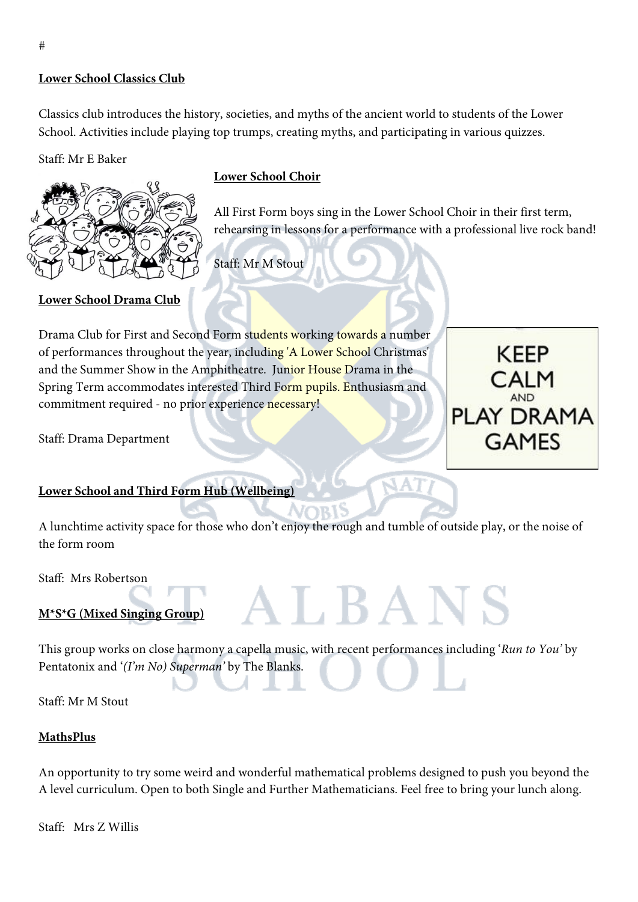#### **Lower School Classics Club**

Classics club introduces the history, societies, and myths of the ancient world to students of the Lower School. Activities include playing top trumps, creating myths, and participating in various quizzes.

#### Staff: Mr E Baker



**Lower School Drama Club** 

## **Lower School Choir**

All First Form boys sing in the Lower School Choir in their first term, rehearsing in lessons for a performance with a professional live rock band!

Staff: Mr M Stout

# Drama Club for First and Second Form students working towards a number

of performances throughout the year, including 'A Lower School Christmas' and the Summer Show in the Amphitheatre. Junior House Drama in the Spring Term accommodates interested Third Form pupils. Enthusiasm and commitment required - no prior experience necessary!

Staff: Drama Department

# **Lower School and Third Form Hub (Wellbeing)**

A lunchtime activity space for those who don't enjoy the rough and tumble of outside play, or the noise of the form room

Staff: Mrs Robertson

# **M\*S\*G (Mixed Singing Group)**

This group works on close harmony a capella music, with recent performances including '*Run to You'* by Pentatonix and '*(I'm No) Superman'* by The Blanks.

ALBANS

Staff: Mr M Stout

#### **MathsPlus**

An opportunity to try some weird and wonderful mathematical problems designed to push you beyond the A level curriculum. Open to both Single and Further Mathematicians. Feel free to bring your lunch along.

Staff: Mrs Z Willis

**KEEP** CALM **PLAY DRAMA GAMES**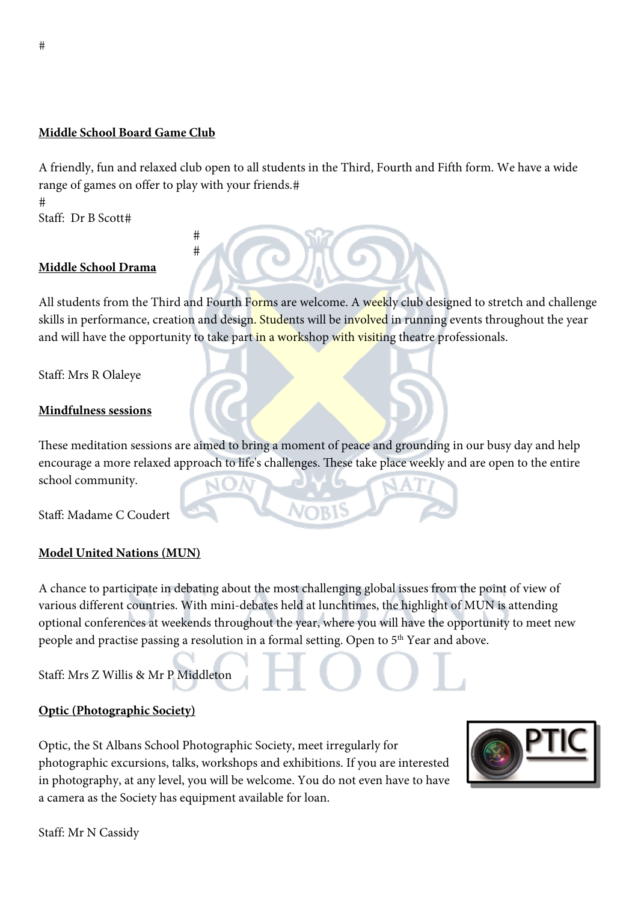#### **Middle School Board Game Club**

#  $#$ 

A friendly, fun and relaxed club open to all students in the Third, Fourth and Fifth form. We have a wide range of games on offer to play with your friends.

 $#$ Staff: Dr B Scott

## **Middle School Drama**

All students from the Third and Fourth Forms are welcome. A weekly club designed to stretch and challenge skills in performance, creation and design. Students will be involved in running events throughout the year and will have the opportunity to take part in a workshop with visiting theatre professionals.

Staff: Mrs R Olaleye

# **Mindfulness sessions**

These meditation sessions are aimed to bring a moment of peace and grounding in our busy day and help encourage a more relaxed approach to life's challenges. These take place weekly and are open to the entire school community.

Staff: Madame C Coudert

# **Model United Nations (MUN)**

A chance to participate in debating about the most challenging global issues from the point of view of various different countries. With mini-debates held at lunchtimes, the highlight of MUN is attending optional conferences at weekends throughout the year, where you will have the opportunity to meet new people and practise passing a resolution in a formal setting. Open to 5<sup>th</sup> Year and above.

Staff: Mrs Z Willis & Mr P Middleton

#### **Optic (Photographic Society)**

Staff: Mr N Cassidy

Optic, the St Albans School Photographic Society, meet irregularly for photographic excursions, talks, workshops and exhibitions. If you are interested in photography, at any level, you will be welcome. You do not even have to have a camera as the Society has equipment available for loan.

 $#$ 

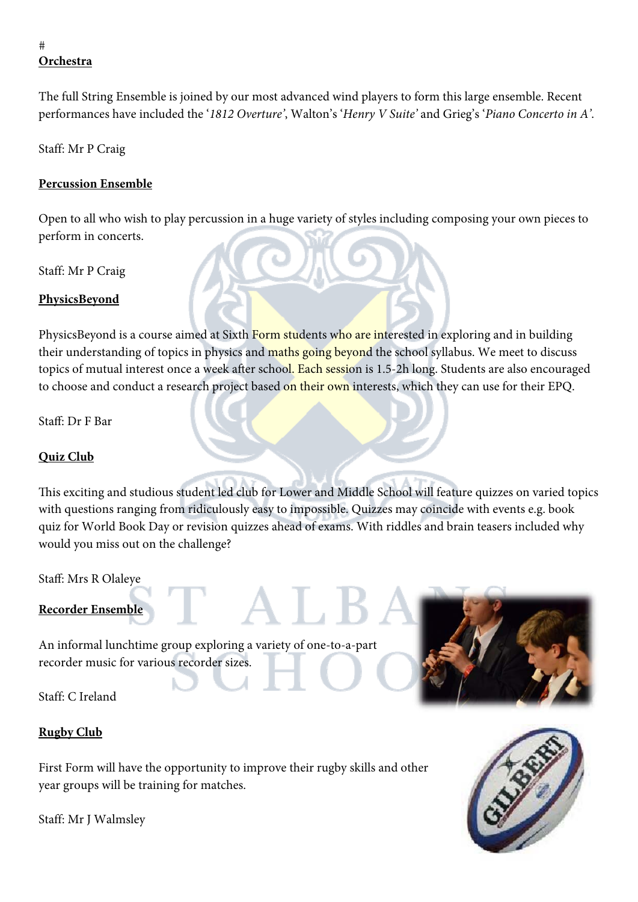# **Orchestra**

The full String Ensemble is joined by our most advanced wind players to form this large ensemble. Recent performances have included the '*1812 Overture'*, Walton's '*Henry V Suite'* and Grieg's '*Piano Concerto in A'*.

Staff: Mr P Craig

## **Percussion Ensemble**

Open to all who wish to play percussion in a huge variety of styles including composing your own pieces to perform in concerts.

Staff: Mr P Craig

## **PhysicsBeyond**

PhysicsBeyond is a course aimed at Sixth Form students who are interested in exploring and in building their understanding of topics in physics and maths going beyond the school syllabus. We meet to discuss topics of mutual interest once a week after school. Each session is 1.5-2h long. Students are also encouraged to choose and conduct a research project based on their own interests, which they can use for their EPQ.

Staff: Dr F Bar

# **Quiz Club**

This exciting and studious student led club for Lower and Middle School will feature quizzes on varied topics with questions ranging from ridiculously easy to impossible. Quizzes may coincide with events e.g. book quiz for World Book Day or revision quizzes ahead of exams. With riddles and brain teasers included why would you miss out on the challenge?

Staff: Mrs R Olaleye

# **Recorder Ensemble**

An informal lunchtime group exploring a variety of one-to-a-part recorder music for various recorder sizes.

Staff: C Ireland

# **Rugby Club**

First Form will have the opportunity to improve their rugby skills and other year groups will be training for matches.





 $#$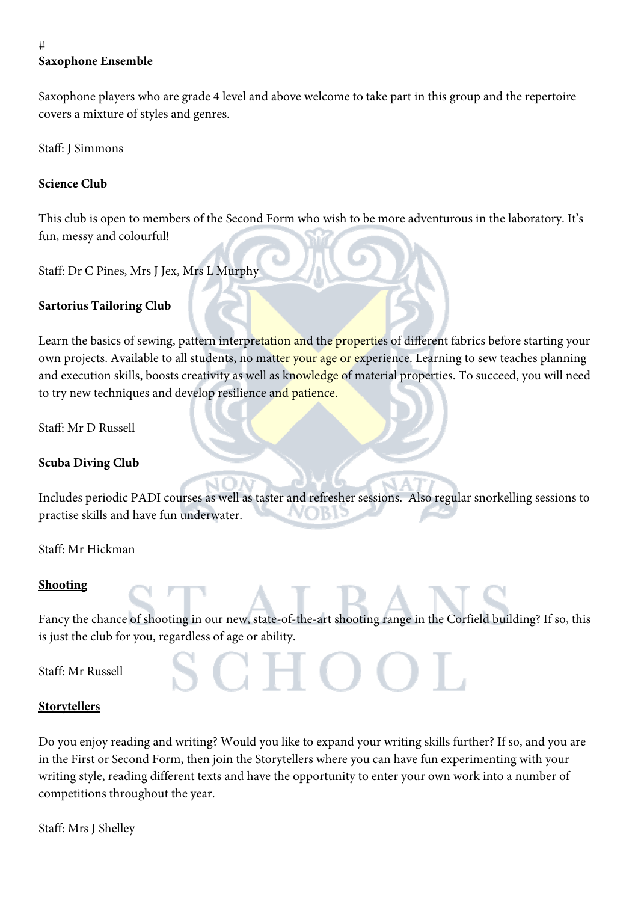# **Saxophone Ensemble**

 $#$ 

Saxophone players who are grade 4 level and above welcome to take part in this group and the repertoire covers a mixture of styles and genres.

Staff: J Simmons

# **Science Club**

This club is open to members of the Second Form who wish to be more adventurous in the laboratory. It's fun, messy and colourful!

Staff: Dr C Pines, Mrs J Jex, Mrs L Murphy

## **Sartorius Tailoring Club**

Learn the basics of sewing, pattern interpretation and the properties of different fabrics before starting your own projects. Available to all students, no matter your age or experience. Learning to sew teaches planning and execution skills, boosts creativity as well as knowledge of material properties. To succeed, you will need to try new techniques and develop resilience and patience.

Staff: Mr D Russell

#### **Scuba Diving Club**

Includes periodic PADI courses as well as taster and refresher sessions. Also regular snorkelling sessions to practise skills and have fun underwater. л

Staff: Mr Hickman

#### **Shooting**

Fancy the chance of shooting in our new, state-of-the-art shooting range in the Corfield building? If so, this is just the club for you, regardless of age or ability.

Staff: Mr Russell

#### **Storytellers**

Do you enjoy reading and writing? Would you like to expand your writing skills further? If so, and you are in the First or Second Form, then join the Storytellers where you can have fun experimenting with your writing style, reading different texts and have the opportunity to enter your own work into a number of competitions throughout the year.

Staff: Mrs J Shelley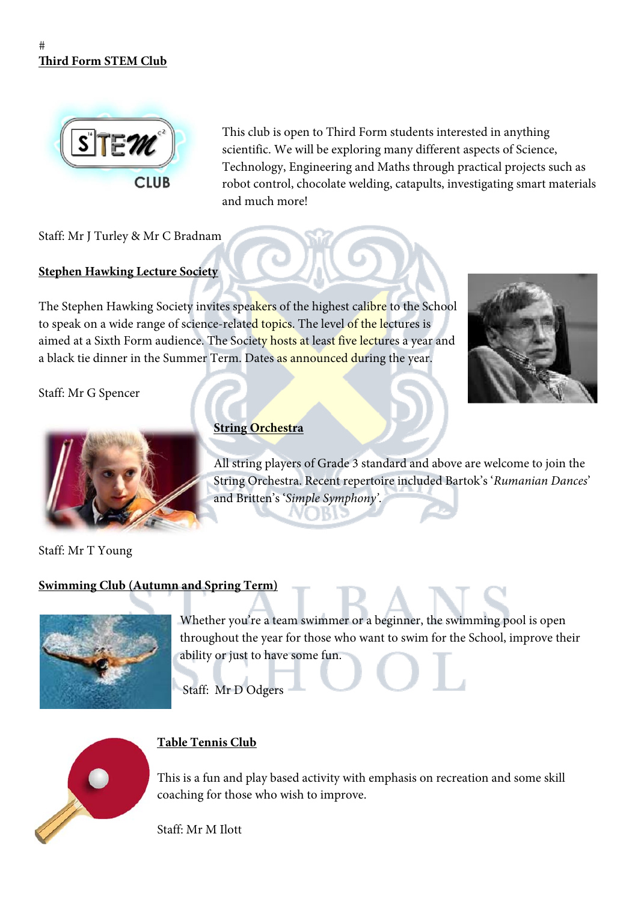#### $#$ **Third Form STEM Club**



This club is open to Third Form students interested in anything scientific. We will be exploring many different aspects of Science, Technology, Engineering and Maths through practical projects such as robot control, chocolate welding, catapults, investigating smart materials and much more!

Staff: Mr J Turley & Mr C Bradnam

#### **Stephen Hawking Lecture Society**

The Stephen Hawking Society invites speakers of the highest calibre to the School to speak on a wide range of science-related topics. The level of the lectures is aimed at a Sixth Form audience. The Society hosts at least five lectures a year and a black tie dinner in the Summer Term. Dates as announced during the year.



Staff: Mr G Spencer



#### **String Orchestra**

All string players of Grade 3 standard and above are welcome to join the String Orchestra. Recent repertoire included Bartok's '*Rumanian Dances*' and Britten's '*Simple Symphony'*.

Staff: Mr T Young

# **Swimming Club (Autumn and Spring Term)**



Whether you're a team swimmer or a beginner, the swimming pool is open throughout the year for those who want to swim for the School, improve their ability or just to have some fun.

Staff: Mr D Odgers



# **Table Tennis Club**

This is a fun and play based activity with emphasis on recreation and some skill coaching for those who wish to improve.

Staff: Mr M Ilott